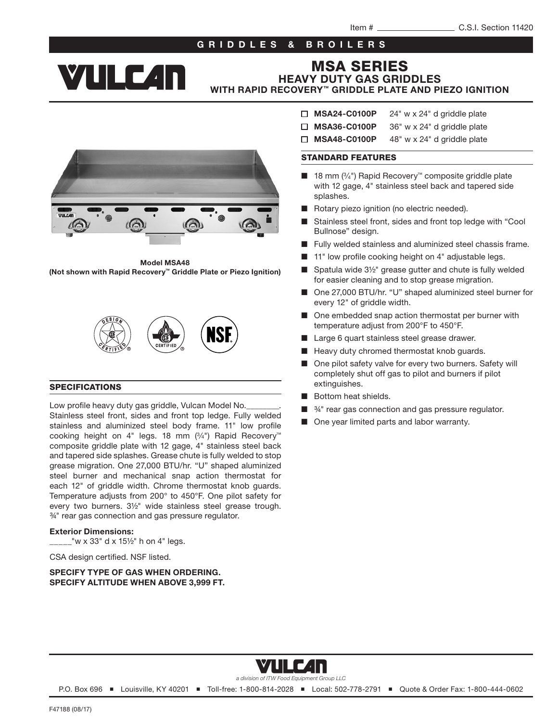## GRIDDLES & BROILERS



# MSA SERIES

HEAVY DUTY GAS GRIDDLES WITH RAPID RECOVERY™ GRIDDLE PLATE AND PIEZO IGNITION

Model MSA48 (Not shown with Rapid Recovery™ Griddle Plate or Piezo Ignition)



#### SPECIFICATIONS

Low profile heavy duty gas griddle, Vulcan Model No. Stainless steel front, sides and front top ledge. Fully welded stainless and aluminized steel body frame. 11" low profile cooking height on 4" legs. 18 mm (3⁄4") Rapid Recovery™ composite griddle plate with 12 gage, 4" stainless steel back and tapered side splashes. Grease chute is fully welded to stop grease migration. One 27,000 BTU/hr. "U" shaped aluminized steel burner and mechanical snap action thermostat for each 12" of griddle width. Chrome thermostat knob guards. Temperature adjusts from 200° to 450°F. One pilot safety for every two burners. 3½" wide stainless steel grease trough. ¾" rear gas connection and gas pressure regulator.

#### Exterior Dimensions:

 $2^{\prime\prime}$  w x 33" d x 15½" h on 4" legs.

CSA design certified. NSF listed.

#### SPECIFY TYPE OF GAS WHEN ORDERING. SPECIFY ALTITUDE WHEN ABOVE 3,999 FT.

- $\Box$  MSA24-C0100P 24" w x 24" d griddle plate
- $\Box$  MSA36-C0100P 36" w x 24" d griddle plate
- $\Box$  MSA48-C0100P 48" w x 24" d griddle plate

#### STANDARD FEATURES

- 18 mm (3/4") Rapid Recovery™ composite griddle plate with 12 gage, 4" stainless steel back and tapered side splashes.
- Rotary piezo ignition (no electric needed).
- Stainless steel front, sides and front top ledge with "Cool Bullnose" design.
- Fully welded stainless and aluminized steel chassis frame.
- 11" low profile cooking height on 4" adjustable legs.
- Spatula wide 3½" grease gutter and chute is fully welded for easier cleaning and to stop grease migration.
- One 27,000 BTU/hr. "U" shaped aluminized steel burner for every 12" of griddle width.
- One embedded snap action thermostat per burner with temperature adjust from 200°F to 450°F.
- Large 6 quart stainless steel grease drawer.
- Heavy duty chromed thermostat knob guards.
- One pilot safety valve for every two burners. Safety will completely shut off gas to pilot and burners if pilot extinguishes.
- Bottom heat shields.
- $34"$  rear gas connection and gas pressure regulator.
- One year limited parts and labor warranty.